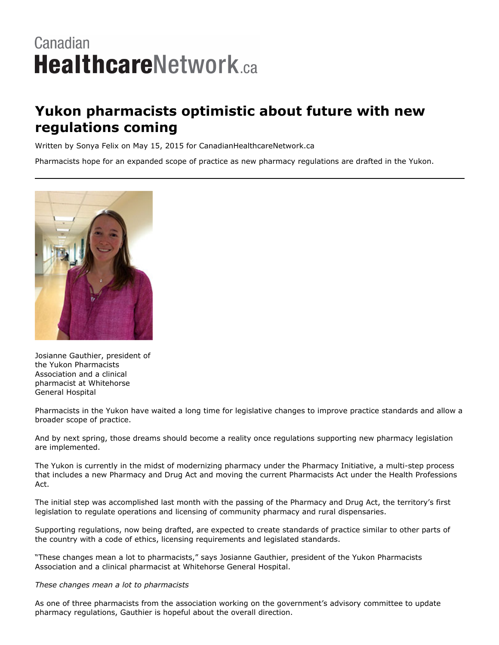## Canadian **HealthcareNetwork.ca**

## **Yukon pharmacists optimistic about future with new regulations coming**

Written by Sonya Felix on May 15, 2015 for CanadianHealthcareNetwork.ca

Pharmacists hope for an expanded scope of practice as new pharmacy regulations are drafted in the Yukon.



Josianne Gauthier, president of the Yukon Pharmacists Association and a clinical pharmacist at Whitehorse General Hospital

Pharmacists in the Yukon have waited a long time for legislative changes to improve practice standards and allow a broader scope of practice.

And by next spring, those dreams should become a reality once regulations supporting new pharmacy legislation are implemented.

The Yukon is currently in the midst of modernizing pharmacy under the Pharmacy Initiative, a multi-step process that includes a new Pharmacy and Drug Act and moving the current Pharmacists Act under the Health Professions Act.

The initial step was accomplished last month with the passing of the Pharmacy and Drug Act, the territory's first legislation to regulate operations and licensing of community pharmacy and rural dispensaries.

Supporting regulations, now being drafted, are expected to create standards of practice similar to other parts of the country with a code of ethics, licensing requirements and legislated standards.

"These changes mean a lot to pharmacists," says Josianne Gauthier, president of the Yukon Pharmacists Association and a clinical pharmacist at Whitehorse General Hospital.

## *These changes mean a lot to pharmacists*

As one of three pharmacists from the association working on the government's advisory committee to update pharmacy regulations, Gauthier is hopeful about the overall direction.